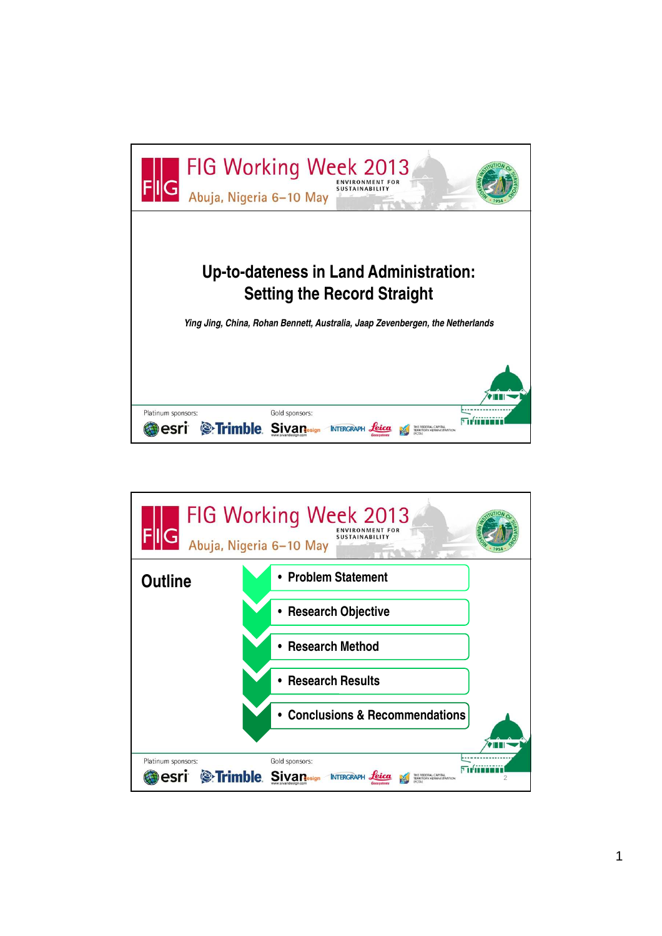

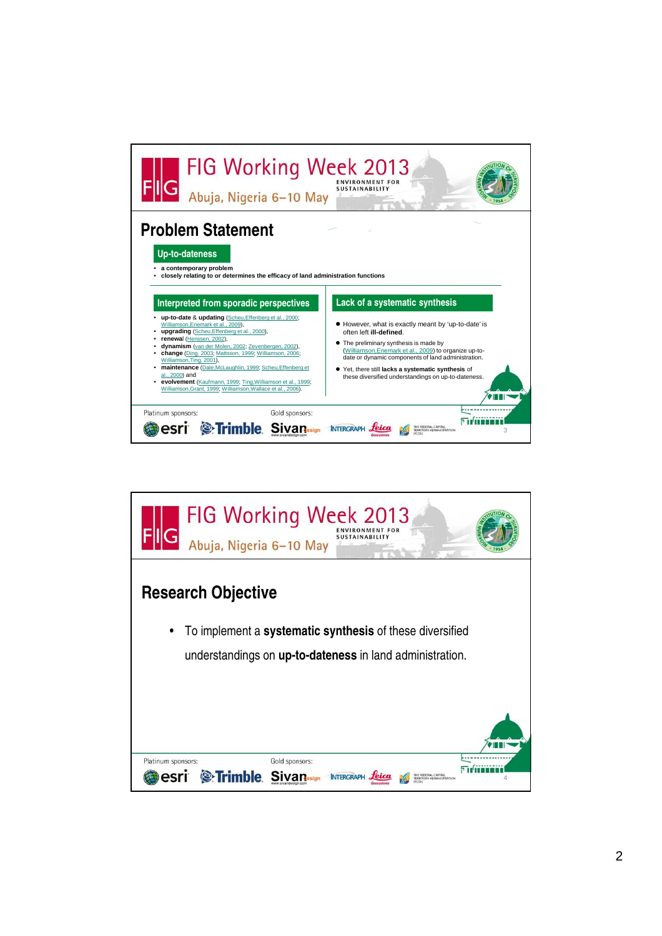

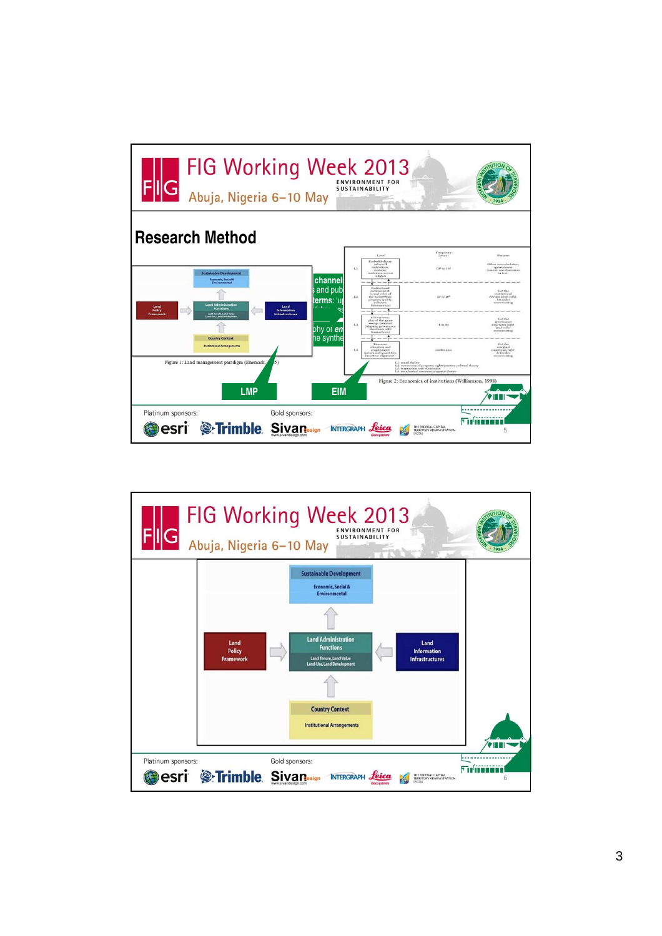

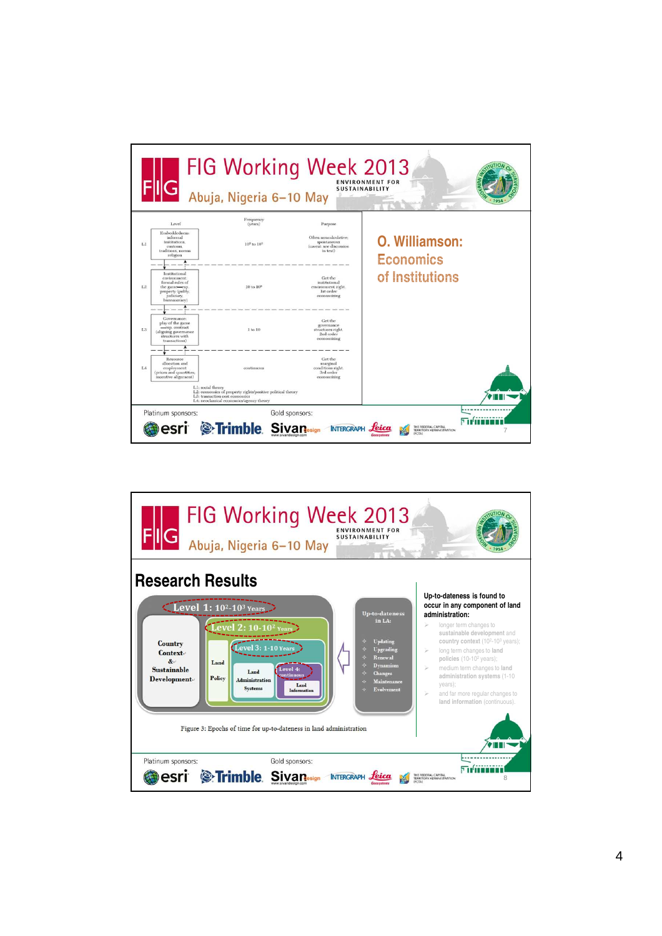